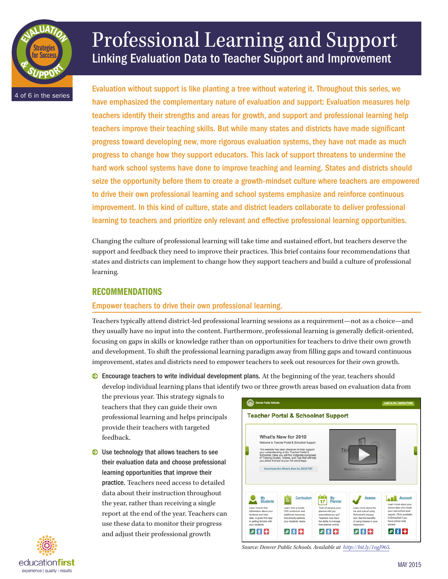

# Professional Learning and Support Linking Evaluation Data to Teacher Support and Improvement

Evaluation without support is like planting a tree without watering it. Throughout this series, we have emphasized the complementary nature of evaluation and support: Evaluation measures help teachers identify their strengths and areas for growth, and support and professional learning help teachers improve their teaching skills. But while many states and districts have made significant progress toward developing new, more rigorous evaluation systems, they have not made as much progress to change how they support educators. This lack of support threatens to undermine the hard work school systems have done to improve teaching and learning. States and districts should seize the opportunity before them to create a growth-mindset culture where teachers are empowered to drive their own professional learning and school systems emphasize and reinforce continuous improvement. In this kind of culture, state and district leaders collaborate to deliver professional learning to teachers and prioritize only relevant and effective professional learning opportunities.

Changing the culture of professional learning will take time and sustained effort, but teachers deserve the support and feedback they need to improve their practices. This brief contains four recommendations that states and districts can implement to change how they support teachers and build a culture of professional learning.

## RECOMMENDATIONS

## Empower teachers to drive their own professional learning.

Teachers typically attend district-led professional learning sessions as a requirement—not as a choice—and they usually have no input into the content. Furthermore, professional learning is generally deficit-oriented, focusing on gaps in skills or knowledge rather than on opportunities for teachers to drive their own growth and development. To shift the professional learning paradigm away from filling gaps and toward continuous improvement, states and districts need to empower teachers to seek out resources for their own growth.

 $\odot$  Encourage teachers to write individual development plans. At the beginning of the year, teachers should develop individual learning plans that identify two or three growth areas based on evaluation data from

the previous year. This strategy signals to teachers that they can guide their own professional learning and helps principals provide their teachers with targeted feedback.

 $\bullet$  Use technology that allows teachers to see their evaluation data and choose professional learning opportunities that improve their practice. Teachers need access to detailed data about their instruction throughout the year, rather than receiving a single report at the end of the year. Teachers can use these data to monitor their progress and adjust their professional growth





*Source: Denver Public Schools. Available at <http://bit.ly/1ogJ965>.*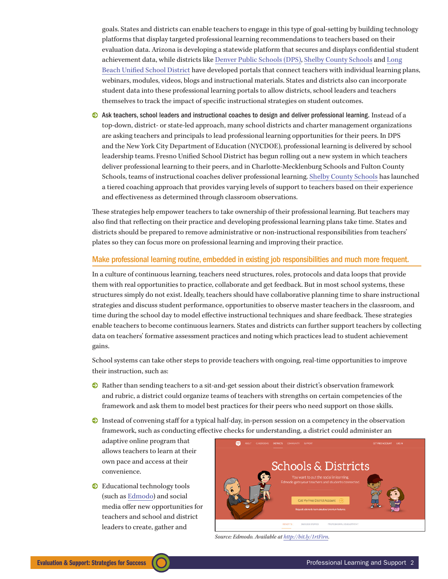goals. States and districts can enable teachers to engage in this type of goal-setting by building technology platforms that display targeted professional learning recommendations to teachers based on their evaluation data. Arizona is developing a statewide platform that secures and displays confidential student achievement data, while districts like [Denver Public Schools \(DPS\),](http://techtraining.dpsk12.org/dpmsteacher/) [Shelby County Schools](http://www.scsk12.org/uf/TalentManagement/vlp/) and [Long](http://www.lbschools.net/Main_Offices/Curriculum/Professional_Development/prof_dev_plan.cfm) [Beach Unified School District](http://www.lbschools.net/Main_Offices/Curriculum/Professional_Development/prof_dev_plan.cfm) have developed portals that connect teachers with individual learning plans, webinars, modules, videos, blogs and instructional materials. States and districts also can incorporate student data into these professional learning portals to allow districts, school leaders and teachers themselves to track the impact of specific instructional strategies on student outcomes.

0 Ask teachers, school leaders and instructional coaches to design and deliver professional learning. Instead of a top-down, district- or state-led approach, many school districts and charter management organizations are asking teachers and principals to lead professional learning opportunities for their peers. In DPS and the New York City Department of Education (NYCDOE), professional learning is delivered by school leadership teams. Fresno Unified School District has begun rolling out a new system in which teachers deliver professional learning to their peers, and in Charlotte-Mecklenburg Schools and Fulton County Schools, teams of instructional coaches deliver professional learning. [Shelby County](http://www.scsk12.org/uf/TalentManagement/Development_Support_Leadership.php) [Schools](http://www.scsk12.org/uf/TalentManagement/Development_Support_Leadership.php) has launched a tiered coaching approach that provides varying levels of support to teachers based on their experience and effectiveness as determined through classroom observations.

These strategies help empower teachers to take ownership of their professional learning. But teachers may also find that reflecting on their practice and developing professional learning plans take time. States and districts should be prepared to remove administrative or non-instructional responsibilities from teachers' plates so they can focus more on professional learning and improving their practice.

#### Make professional learning routine, embedded in existing job responsibilities and much more frequent.

In a culture of continuous learning, teachers need structures, roles, protocols and data loops that provide them with real opportunities to practice, collaborate and get feedback. But in most school systems, these structures simply do not exist. Ideally, teachers should have collaborative planning time to share instructional strategies and discuss student performance, opportunities to observe master teachers in the classroom, and time during the school day to model effective instructional techniques and share feedback. These strategies enable teachers to become continuous learners. States and districts can further support teachers by collecting data on teachers' formative assessment practices and noting which practices lead to student achievement gains.

School systems can take other steps to provide teachers with ongoing, real-time opportunities to improve their instruction, such as:

- 0 Rather than sending teachers to a sit-and-get session about their district's observation framework and rubric, a district could organize teams of teachers with strengths on certain competencies of the framework and ask them to model best practices for their peers who need support on those skills.
- $\odot$  Instead of convening staff for a typical half-day, in-person session on a competency in the observation framework, such as conducting effective checks for understanding, a district could administer an

adaptive online program that allows teachers to learn at their own pace and access at their convenience.

 $\bullet$  Educational technology tools (such as [Edmodo](https://www.edmodo.com/)) and social media offer new opportunities for teachers and school and district leaders to create, gather and



*Source: Edmodo. Available at [http://bit.ly/1rtFirn.](http://bit.ly/1rtFirn)*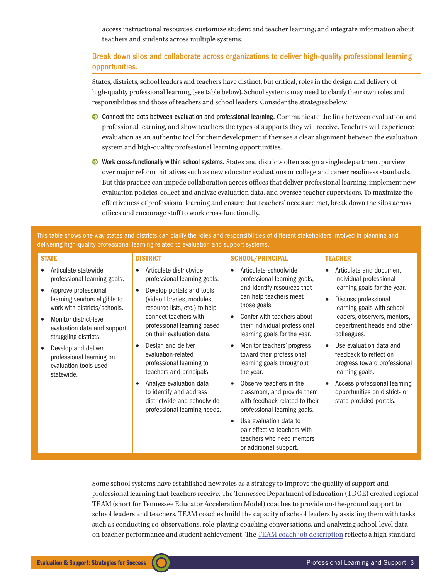access instructional resources; customize student and teacher learning; and integrate information about teachers and students across multiple systems.

## Break down silos and collaborate across organizations to deliver high-quality professional learning opportunities.

States, districts, school leaders and teachers have distinct, but critical, roles in the design and delivery of high-quality professional learning (see table below). School systems may need to clarify their own roles and responsibilities and those of teachers and school leaders. Consider the strategies below:

- 0 Connect the dots between evaluation and professional learning. Communicate the link between evaluation and professional learning, and show teachers the types of supports they will receive. Teachers will experience evaluation as an authentic tool for their development if they see a clear alignment between the evaluation system and high-quality professional learning opportunities.
- $\odot$  Work cross-functionally within school systems. States and districts often assign a single department purview over major reform initiatives such as new educator evaluations or college and career readiness standards. But this practice can impede collaboration across offices that deliver professional learning, implement new evaluation policies, collect and analyze evaluation data, and oversee teacher supervisors. To maximize the effectiveness of professional learning and ensure that teachers' needs are met, break down the silos across offices and encourage staff to work cross-functionally.

This table shows one way states and districts can clarify the roles and responsibilities of different stakeholders involved in planning and delivering high-quality professional learning related to evaluation and support systems.

| <b>STATE</b>                                                                           | <b>DISTRICT</b>                                                                                                   | <b>SCHOOL/PRINCIPAL</b>                                                                                                               | <b>TEACHER</b>                                                                                       |
|----------------------------------------------------------------------------------------|-------------------------------------------------------------------------------------------------------------------|---------------------------------------------------------------------------------------------------------------------------------------|------------------------------------------------------------------------------------------------------|
| Articulate statewide<br>professional learning goals.                                   | Articulate districtwide<br>$\bullet$<br>professional learning goals.                                              | Articulate schoolwide<br>$\bullet$<br>professional learning goals,                                                                    | Articulate and document<br>$\bullet$<br>individual professional                                      |
| Approve professional<br>learning vendors eligible to<br>work with districts/schools.   | Develop portals and tools<br>(video libraries, modules,<br>resource lists, etc.) to help                          | and identify resources that<br>can help teachers meet<br>those goals.                                                                 | learning goals for the year.<br>Discuss professional<br>learning goals with school                   |
| Monitor district-level<br>evaluation data and support<br>struggling districts.         | connect teachers with<br>professional learning based<br>on their evaluation data.                                 | Confer with teachers about<br>$\bullet$<br>their individual professional<br>learning goals for the year.                              | leaders, observers, mentors,<br>department heads and other<br>colleagues.                            |
| Develop and deliver<br>professional learning on<br>evaluation tools used<br>statewide. | Design and deliver<br>evaluation-related<br>professional learning to<br>teachers and principals.                  | Monitor teachers' progress<br>$\bullet$<br>toward their professional<br>learning goals throughout<br>the year.                        | Use evaluation data and<br>feedback to reflect on<br>progress toward professional<br>learning goals. |
|                                                                                        | Analyze evaluation data<br>to identify and address<br>districtwide and schoolwide<br>professional learning needs. | Observe teachers in the<br>$\bullet$<br>classroom, and provide them<br>with feedback related to their<br>professional learning goals. | Access professional learning<br>opportunities on district- or<br>state-provided portals.             |
|                                                                                        |                                                                                                                   | Use evaluation data to<br>$\bullet$<br>pair effective teachers with<br>teachers who need mentors<br>or additional support.            |                                                                                                      |

Some school systems have established new roles as a strategy to improve the quality of support and professional learning that teachers receive. The Tennessee Department of Education (TDOE) created regional TEAM (short for Tennessee Educator Acceleration Model) coaches to provide on-the-ground support to school leaders and teachers. TEAM coaches build the capacity of school leaders by assisting them with tasks such as conducting co-observations, role-playing coaching conversations, and analyzing school-level data on teacher performance and student achievement. The [TEAM coach job description](http://team-tn.org/wp-content/uploads/2014/07/TEAM-Administrator-Evaluation-Coach-Application.pdf) reflects a high standard